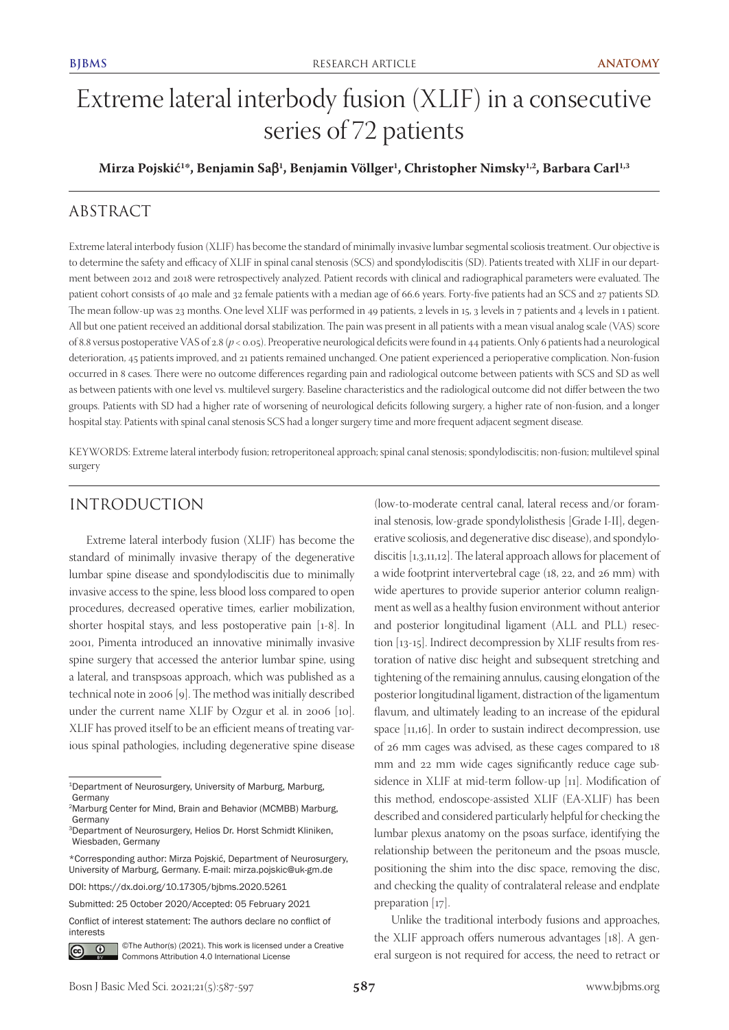# Extreme lateral interbody fusion (XLIF) in a consecutive series of 72 patients

**Mirza Pojskić<sup>1</sup>\*, Benjamin Saβ<sup>1</sup>, Benjamin Völlger<sup>1</sup>, Christopher Nimsky<sup>1,2</sup>, Barbara Carl<sup>1,3</sup>** 

# ABSTRACT

Extreme lateral interbody fusion (XLIF) has become the standard of minimally invasive lumbar segmental scoliosis treatment. Our objective is to determine the safety and efficacy of XLIF in spinal canal stenosis (SCS) and spondylodiscitis (SD). Patients treated with XLIF in our department between 2012 and 2018 were retrospectively analyzed. Patient records with clinical and radiographical parameters were evaluated. The patient cohort consists of 40 male and 32 female patients with a median age of 66.6 years. Forty-five patients had an SCS and 27 patients SD. The mean follow-up was 23 months. One level XLIF was performed in 49 patients, 2 levels in 15, 3 levels in 7 patients and 4 levels in 1 patient. All but one patient received an additional dorsal stabilization. The pain was present in all patients with a mean visual analog scale (VAS) score of 8.8 versus postoperative VAS of 2.8 (*p* < 0.05). Preoperative neurological deficits were found in 44 patients. Only 6 patients had a neurological deterioration, 45 patients improved, and 21 patients remained unchanged. One patient experienced a perioperative complication. Non-fusion occurred in 8 cases. There were no outcome differences regarding pain and radiological outcome between patients with SCS and SD as well as between patients with one level vs. multilevel surgery. Baseline characteristics and the radiological outcome did not differ between the two groups. Patients with SD had a higher rate of worsening of neurological deficits following surgery, a higher rate of non-fusion, and a longer hospital stay. Patients with spinal canal stenosis SCS had a longer surgery time and more frequent adjacent segment disease.

KEYWORDS: Extreme lateral interbody fusion; retroperitoneal approach; spinal canal stenosis; spondylodiscitis; non-fusion; multilevel spinal surgery

# INTRODUCTION

Extreme lateral interbody fusion (XLIF) has become the standard of minimally invasive therapy of the degenerative lumbar spine disease and spondylodiscitis due to minimally invasive access to the spine, less blood loss compared to open procedures, decreased operative times, earlier mobilization, shorter hospital stays, and less postoperative pain [1-8]. In 2001, Pimenta introduced an innovative minimally invasive spine surgery that accessed the anterior lumbar spine, using a lateral, and transpsoas approach, which was published as a technical note in 2006 [9]. The method was initially described under the current name XLIF by Ozgur et al. in 2006 [10]. XLIF has proved itself to be an efficient means of treating various spinal pathologies, including degenerative spine disease

DOI: https://dx.doi.org/10.17305/bjbms.2020.5261

Conflict of interest statement: The authors declare no conflict of interests



©The Author(s) (2021). This work is licensed under a Creative Commons Attribution 4.0 International License

(low-to-moderate central canal, lateral recess and/or foraminal stenosis, low-grade spondylolisthesis [Grade I-II], degenerative scoliosis, and degenerative disc disease), and spondylodiscitis [1,3,11,12]. The lateral approach allows for placement of a wide footprint intervertebral cage (18, 22, and 26 mm) with wide apertures to provide superior anterior column realignment as well as a healthy fusion environment without anterior and posterior longitudinal ligament (ALL and PLL) resection [13-15]. Indirect decompression by XLIF results from restoration of native disc height and subsequent stretching and tightening of the remaining annulus, causing elongation of the posterior longitudinal ligament, distraction of the ligamentum flavum, and ultimately leading to an increase of the epidural space [11,16]. In order to sustain indirect decompression, use of 26 mm cages was advised, as these cages compared to 18 mm and 22 mm wide cages significantly reduce cage subsidence in XLIF at mid-term follow-up [11]. Modification of this method, endoscope-assisted XLIF (EA-XLIF) has been described and considered particularly helpful for checking the lumbar plexus anatomy on the psoas surface, identifying the relationship between the peritoneum and the psoas muscle, positioning the shim into the disc space, removing the disc, and checking the quality of contralateral release and endplate preparation [17].

Unlike the traditional interbody fusions and approaches, the XLIF approach offers numerous advantages [18]. A general surgeon is not required for access, the need to retract or

<sup>1</sup>Department of Neurosurgery, University of Marburg, Marburg, Germany

<sup>2</sup>Marburg Center for Mind, Brain and Behavior (MCMBB) Marburg, Germany

<sup>3</sup>Department of Neurosurgery, Helios Dr. Horst Schmidt Kliniken, Wiesbaden, Germany

<sup>\*</sup>Corresponding author: Mirza Pojskić, Department of Neurosurgery, University of Marburg, Germany. E-mail: mirza.pojskic@uk-gm.de

Submitted: 25 October 2020/Accepted: 05 February 2021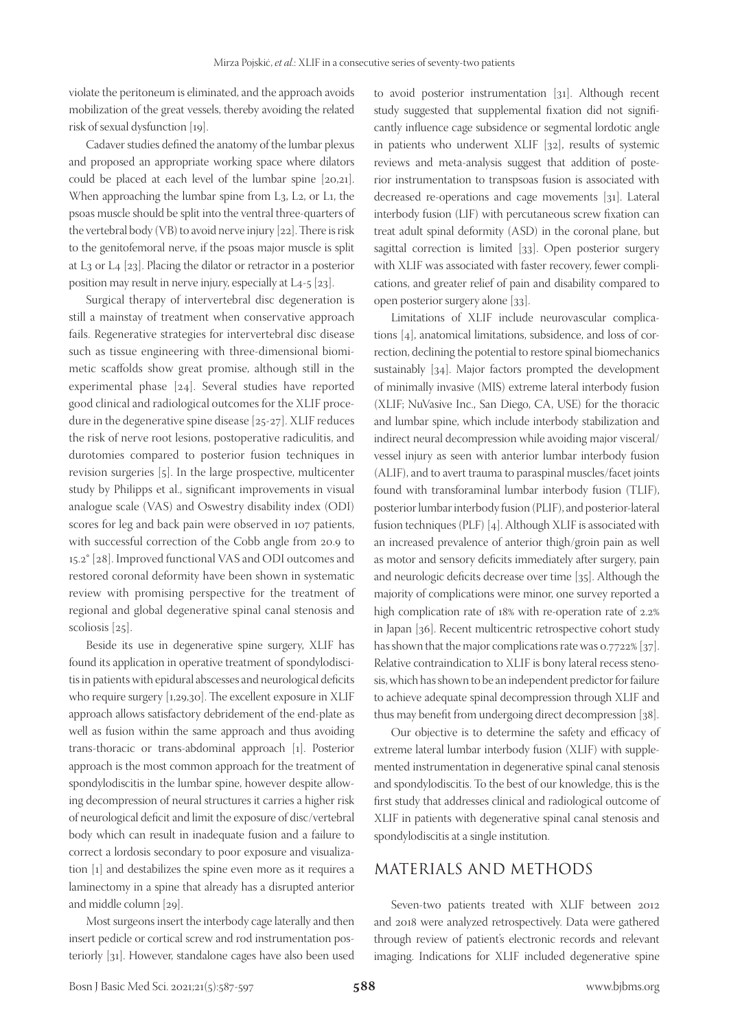violate the peritoneum is eliminated, and the approach avoids mobilization of the great vessels, thereby avoiding the related risk of sexual dysfunction [19].

Cadaver studies defined the anatomy of the lumbar plexus and proposed an appropriate working space where dilators could be placed at each level of the lumbar spine [20,21]. When approaching the lumbar spine from L<sub>3</sub>, L<sub>2</sub>, or L<sub>1</sub>, the psoas muscle should be split into the ventral three-quarters of the vertebral body (VB) to avoid nerve injury [22]. There is risk to the genitofemoral nerve, if the psoas major muscle is split at L3 or L4 [23]. Placing the dilator or retractor in a posterior position may result in nerve injury, especially at L4-5 [23].

Surgical therapy of intervertebral disc degeneration is still a mainstay of treatment when conservative approach fails. Regenerative strategies for intervertebral disc disease such as tissue engineering with three-dimensional biomimetic scaffolds show great promise, although still in the experimental phase [24]. Several studies have reported good clinical and radiological outcomes for the XLIF procedure in the degenerative spine disease [25-27]. XLIF reduces the risk of nerve root lesions, postoperative radiculitis, and durotomies compared to posterior fusion techniques in revision surgeries [5]. In the large prospective, multicenter study by Philipps et al., significant improvements in visual analogue scale (VAS) and Oswestry disability index (ODI) scores for leg and back pain were observed in 107 patients, with successful correction of the Cobb angle from 20.9 to 15.2° [28]. Improved functional VAS and ODI outcomes and restored coronal deformity have been shown in systematic review with promising perspective for the treatment of regional and global degenerative spinal canal stenosis and scoliosis [25].

Beside its use in degenerative spine surgery, XLIF has found its application in operative treatment of spondylodiscitis in patients with epidural abscesses and neurological deficits who require surgery [1,29,30]. The excellent exposure in XLIF approach allows satisfactory debridement of the end-plate as well as fusion within the same approach and thus avoiding trans-thoracic or trans-abdominal approach [1]. Posterior approach is the most common approach for the treatment of spondylodiscitis in the lumbar spine, however despite allowing decompression of neural structures it carries a higher risk of neurological deficit and limit the exposure of disc/vertebral body which can result in inadequate fusion and a failure to correct a lordosis secondary to poor exposure and visualization [1] and destabilizes the spine even more as it requires a laminectomy in a spine that already has a disrupted anterior and middle column [29].

Most surgeons insert the interbody cage laterally and then insert pedicle or cortical screw and rod instrumentation posteriorly [31]. However, standalone cages have also been used

to avoid posterior instrumentation [31]. Although recent study suggested that supplemental fixation did not significantly influence cage subsidence or segmental lordotic angle in patients who underwent XLIF [32], results of systemic reviews and meta-analysis suggest that addition of posterior instrumentation to transpsoas fusion is associated with decreased re-operations and cage movements [31]. Lateral interbody fusion (LIF) with percutaneous screw fixation can treat adult spinal deformity (ASD) in the coronal plane, but sagittal correction is limited [33]. Open posterior surgery with XLIF was associated with faster recovery, fewer complications, and greater relief of pain and disability compared to open posterior surgery alone [33].

Limitations of XLIF include neurovascular complications [4], anatomical limitations, subsidence, and loss of correction, declining the potential to restore spinal biomechanics sustainably [34]. Major factors prompted the development of minimally invasive (MIS) extreme lateral interbody fusion (XLIF; NuVasive Inc., San Diego, CA, USE) for the thoracic and lumbar spine, which include interbody stabilization and indirect neural decompression while avoiding major visceral/ vessel injury as seen with anterior lumbar interbody fusion (ALIF), and to avert trauma to paraspinal muscles/facet joints found with transforaminal lumbar interbody fusion (TLIF), posterior lumbar interbody fusion (PLIF), and posterior-lateral fusion techniques (PLF) [4]. Although XLIF is associated with an increased prevalence of anterior thigh/groin pain as well as motor and sensory deficits immediately after surgery, pain and neurologic deficits decrease over time [35]. Although the majority of complications were minor, one survey reported a high complication rate of 18% with re-operation rate of 2.2% in Japan [36]. Recent multicentric retrospective cohort study has shown that the major complications rate was 0.7722% [37]. Relative contraindication to XLIF is bony lateral recess stenosis, which has shown to be an independent predictor for failure to achieve adequate spinal decompression through XLIF and thus may benefit from undergoing direct decompression [38].

Our objective is to determine the safety and efficacy of extreme lateral lumbar interbody fusion (XLIF) with supplemented instrumentation in degenerative spinal canal stenosis and spondylodiscitis. To the best of our knowledge, this is the first study that addresses clinical and radiological outcome of XLIF in patients with degenerative spinal canal stenosis and spondylodiscitis at a single institution.

# MATERIALS AND METHODS

Seven-two patients treated with XLIF between 2012 and 2018 were analyzed retrospectively. Data were gathered through review of patient's electronic records and relevant imaging. Indications for XLIF included degenerative spine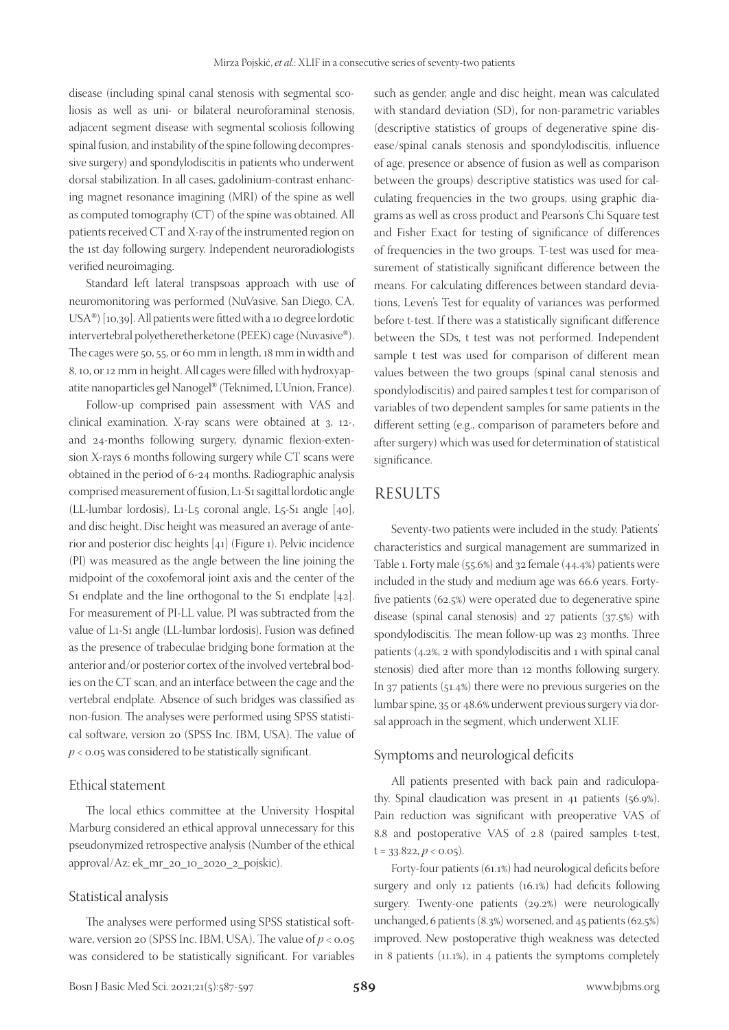disease (including spinal canal stenosis with segmental scoliosis as well as uni- or bilateral neuroforaminal stenosis, adjacent segment disease with segmental scoliosis following spinal fusion, and instability of the spine following decompressive surgery) and spondylodiscitis in patients who underwent dorsal stabilization. In all cases, gadolinium-contrast enhancing magnet resonance imagining (MRI) of the spine as well as computed tomography (CT) of the spine was obtained. All patients received CT and X-ray of the instrumented region on the 1st day following surgery. Independent neuroradiologists verified neuroimaging.

Standard left lateral transpsoas approach with use of neuromonitoring was performed (NuVasive, San Diego, CA, USA®) [10,39]. All patients were fitted with a 10 degree lordotic intervertebral polyetheretherketone (PEEK) cage (Nuvasive®). The cages were 50, 55, or 60 mm in length, 18 mm in width and 8, 10, or 12 mm in height. All cages were filled with hydroxyapatite nanoparticles gel Nanogel® (Teknimed, L'Union, France).

Follow-up comprised pain assessment with VAS and clinical examination. X-ray scans were obtained at 3, 12-, and 24-months following surgery, dynamic flexion-extension X-rays 6 months following surgery while CT scans were obtained in the period of 6-24 months. Radiographic analysis comprised measurement of fusion, L1-S1 sagittal lordotic angle (LL-lumbar lordosis), L1-L5 coronal angle, L5-S1 angle [40], and disc height. Disc height was measured an average of anterior and posterior disc heights [41] (Figure 1). Pelvic incidence (PI) was measured as the angle between the line joining the midpoint of the coxofemoral joint axis and the center of the S<sub>1</sub> endplate and the line orthogonal to the S<sub>1</sub> endplate [42]. For measurement of PI-LL value, PI was subtracted from the value of L1-S1 angle (LL-lumbar lordosis). Fusion was defined as the presence of trabeculae bridging bone formation at the anterior and/or posterior cortex of the involved vertebral bodies on the CT scan, and an interface between the cage and the vertebral endplate. Absence of such bridges was classified as non-fusion. The analyses were performed using SPSS statistical software, version 20 (SPSS Inc. IBM, USA). The value of *p* < 0.05 was considered to be statistically significant.

#### Ethical statement

The local ethics committee at the University Hospital Marburg considered an ethical approval unnecessary for this pseudonymized retrospective analysis (Number of the ethical approval/Az: ek\_mr\_20\_10\_2020\_2\_pojskic).

#### Statistical analysis

The analyses were performed using SPSS statistical software, version 20 (SPSS Inc. IBM, USA). The value of  $p < 0.05$ was considered to be statistically significant. For variables such as gender, angle and disc height, mean was calculated with standard deviation (SD), for non-parametric variables (descriptive statistics of groups of degenerative spine disease/spinal canals stenosis and spondylodiscitis, influence of age, presence or absence of fusion as well as comparison between the groups) descriptive statistics was used for calculating frequencies in the two groups, using graphic diagrams as well as cross product and Pearson's Chi Square test and Fisher Exact for testing of significance of differences of frequencies in the two groups. T-test was used for measurement of statistically significant difference between the means. For calculating differences between standard deviations, Leven's Test for equality of variances was performed before t-test. If there was a statistically significant difference between the SDs, t test was not performed. Independent sample t test was used for comparison of different mean values between the two groups (spinal canal stenosis and spondylodiscitis) and paired samples t test for comparison of variables of two dependent samples for same patients in the different setting (e.g., comparison of parameters before and after surgery) which was used for determination of statistical significance.

# RESULTS

Seventy-two patients were included in the study. Patients' characteristics and surgical management are summarized in Table 1. Forty male (55.6%) and 32 female (44.4%) patients were included in the study and medium age was 66.6 years. Fortyfive patients (62.5%) were operated due to degenerative spine disease (spinal canal stenosis) and 27 patients (37.5%) with spondylodiscitis. The mean follow-up was 23 months. Three patients (4.2%, 2 with spondylodiscitis and 1 with spinal canal stenosis) died after more than 12 months following surgery. In 37 patients (51.4%) there were no previous surgeries on the lumbar spine, 35 or 48.6% underwent previous surgery via dorsal approach in the segment, which underwent XLIF.

### Symptoms and neurological deficits

All patients presented with back pain and radiculopathy. Spinal claudication was present in 41 patients (56.9%). Pain reduction was significant with preoperative VAS of 8.8 and postoperative VAS of 2.8 (paired samples t-test,  $t = 33.822, p < 0.05$ .

Forty-four patients (61.1%) had neurological deficits before surgery and only 12 patients (16.1%) had deficits following surgery. Twenty-one patients (29.2%) were neurologically unchanged, 6 patients (8.3%) worsened, and 45 patients (62.5%) improved. New postoperative thigh weakness was detected in 8 patients (11.1%), in 4 patients the symptoms completely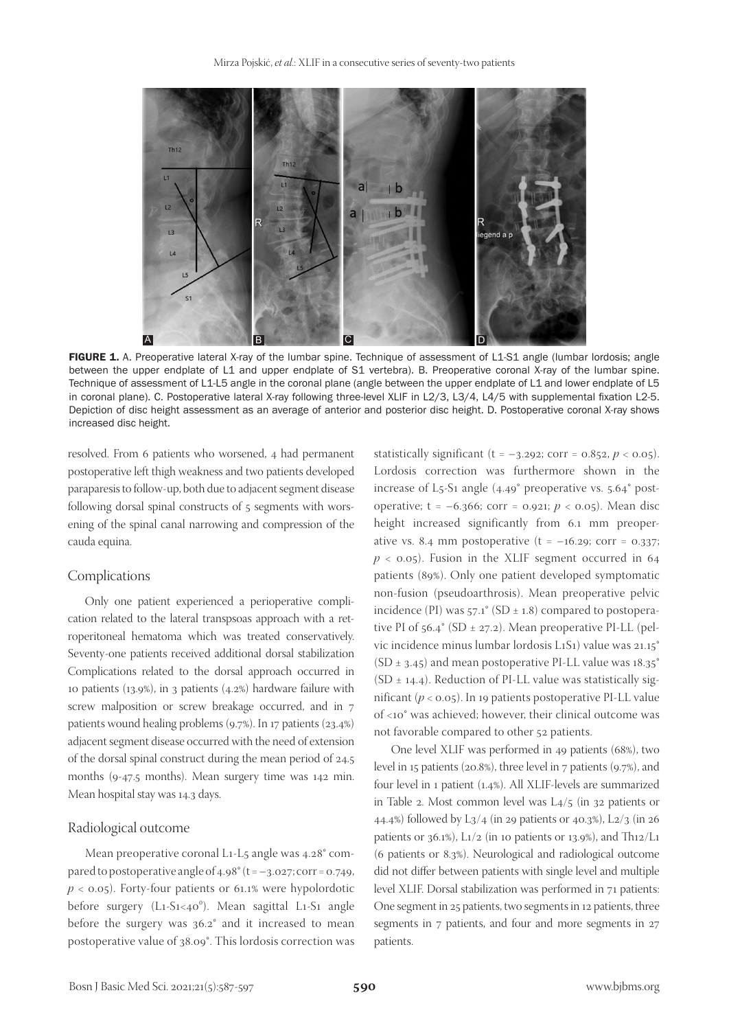

FIGURE 1. A. Preoperative lateral X-ray of the lumbar spine. Technique of assessment of L1-S1 angle (lumbar lordosis; angle between the upper endplate of L1 and upper endplate of S1 vertebra). B. Preoperative coronal X-ray of the lumbar spine. Technique of assessment of L1-L5 angle in the coronal plane (angle between the upper endplate of L1 and lower endplate of L5 in coronal plane). C. Postoperative lateral X-ray following three-level XLIF in L2/3, L3/4, L4/5 with supplemental fixation L2-5. Depiction of disc height assessment as an average of anterior and posterior disc height. D. Postoperative coronal X-ray shows increased disc height.

resolved. From 6 patients who worsened, 4 had permanent postoperative left thigh weakness and two patients developed paraparesis to follow-up, both due to adjacent segment disease following dorsal spinal constructs of 5 segments with worsening of the spinal canal narrowing and compression of the cauda equina.

#### Complications

Only one patient experienced a perioperative complication related to the lateral transpsoas approach with a retroperitoneal hematoma which was treated conservatively. Seventy-one patients received additional dorsal stabilization Complications related to the dorsal approach occurred in 10 patients (13.9%), in 3 patients (4.2%) hardware failure with screw malposition or screw breakage occurred, and in 7 patients wound healing problems (9.7%). In 17 patients (23.4%) adjacent segment disease occurred with the need of extension of the dorsal spinal construct during the mean period of 24.5 months (9-47.5 months). Mean surgery time was 142 min. Mean hospital stay was 14.3 days.

#### Radiological outcome

Mean preoperative coronal L1-L5 angle was 4.28° compared to postoperative angle of  $4.98^\circ$  (t =  $-3.027$ ; corr = 0.749,  $p <$  0.05). Forty-four patients or 61.1% were hypolordotic before surgery  $(L_1-S_1<40^\circ)$ . Mean sagittal L1-S1 angle before the surgery was 36.2° and it increased to mean postoperative value of 38.09°. This lordosis correction was

statistically significant ( $t = -3.292$ ; corr = 0.852,  $p < 0.05$ ). Lordosis correction was furthermore shown in the increase of L5-S1 angle (4.49° preoperative vs. 5.64° postoperative; t = –6.366; corr = 0.921; *p* < 0.05). Mean disc height increased significantly from 6.1 mm preoperative vs. 8.4 mm postoperative  $(t = -16.29; corr = 0.337;$  $p <$  0.05). Fusion in the XLIF segment occurred in 64 patients (89%). Only one patient developed symptomatic non-fusion (pseudoarthrosis). Mean preoperative pelvic incidence (PI) was  $57.1^{\circ}$  (SD  $\pm$  1.8) compared to postoperative PI of  $56.4^{\circ}$  (SD  $\pm$  27.2). Mean preoperative PI-LL (pelvic incidence minus lumbar lordosis L1S1) value was 21.15° (SD  $\pm$  3.45) and mean postoperative PI-LL value was 18.35 $^{\circ}$ (SD  $\pm$  14.4). Reduction of PI-LL value was statistically significant (*p* < 0.05). In 19 patients postoperative PI-LL value of <10° was achieved; however, their clinical outcome was not favorable compared to other 52 patients.

One level XLIF was performed in 49 patients (68%), two level in 15 patients (20.8%), three level in 7 patients (9.7%), and four level in 1 patient (1.4%). All XLIF-levels are summarized in Table 2. Most common level was L4/5 (in 32 patients or 44.4%) followed by L3/4 (in 29 patients or 40.3%), L2/3 (in 26 patients or 36.1%),  $\text{L}_1/2$  (in 10 patients or 13.9%), and Th12/L1 (6 patients or 8.3%). Neurological and radiological outcome did not differ between patients with single level and multiple level XLIF. Dorsal stabilization was performed in 71 patients: One segment in 25 patients, two segments in 12 patients, three segments in 7 patients, and four and more segments in 27 patients.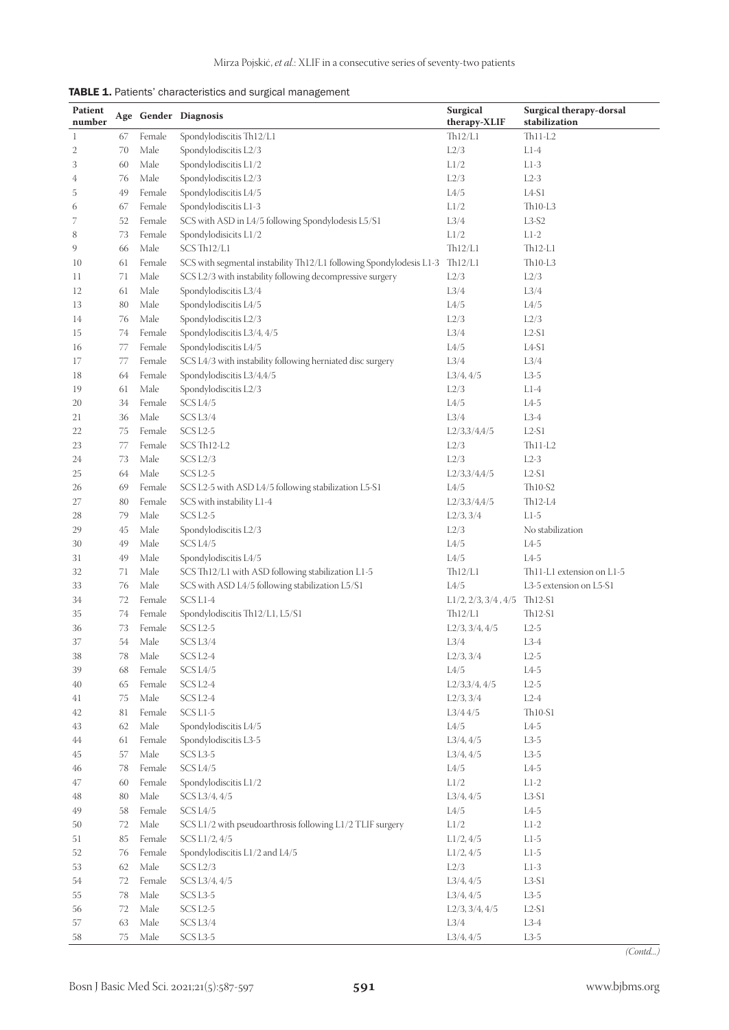| TABLE 1. Patients' characteristics and surgical management |  |  |  |
|------------------------------------------------------------|--|--|--|
|------------------------------------------------------------|--|--|--|

| <b>Patient</b> |          |              | Age Gender Diagnosis                                                | Surgical                               | Surgical therapy-dorsal                                         |
|----------------|----------|--------------|---------------------------------------------------------------------|----------------------------------------|-----------------------------------------------------------------|
| number         |          |              |                                                                     | therapy-XLIF                           | stabilization                                                   |
| $\mathbf{1}$   | 67       | Female       | Spondylodiscitis Th12/L1                                            | Th12/L1                                | $Th11-L2$                                                       |
| $\mathbf{2}$   | 70       | Male         | Spondylodiscitis L2/3                                               | L2/3                                   | $L1-4$                                                          |
| 3              | 60       | Male         | Spondylodiscitis L1/2                                               | L1/2                                   | $L1-3$                                                          |
| 4              | 76       | Male         | Spondylodiscitis L2/3                                               | L2/3                                   | $L2-3$                                                          |
| 5              | 49       | Female       | Spondylodiscitis L4/5                                               | L4/5                                   | $L4-S1$                                                         |
| 6              | 67       | Female       | Spondylodiscitis L1-3                                               | L1/2                                   | $Th10-L3$                                                       |
| 7              | 52       | Female       | SCS with ASD in L4/5 following Spondylodesis L5/S1                  | L3/4                                   | $L3-S2$                                                         |
| 8              | 73       | Female       | Spondylodisicits L1/2                                               | L1/2                                   | $L1-2$                                                          |
| 9              | 66       | Male         | SCS Th12/L1                                                         | Th12/L1                                | Th12-L1                                                         |
| 10             | 61       | Female       | SCS with segmental instability Th12/L1 following Spondylodesis L1-3 | Th12/L1                                | $Th10-L3$                                                       |
| 11             | 71       | Male         | SCS L2/3 with instability following decompressive surgery           | L2/3<br>L3/4                           | L2/3                                                            |
| 12             | 61       | Male         | Spondylodiscitis L3/4                                               | L4/5                                   | L3/4                                                            |
| 13<br>14       | 80<br>76 | Male<br>Male | Spondylodiscitis L4/5                                               | L2/3                                   | L4/5<br>L2/3                                                    |
| 15             | 74       | Female       | Spondylodiscitis L2/3<br>Spondylodiscitis L3/4, 4/5                 | L3/4                                   | $L2-S1$                                                         |
| 16             | 77       | Female       | Spondylodiscitis L4/5                                               | L4/5                                   | $L4-S1$                                                         |
| 17             | 77       | Female       | SCS L4/3 with instability following herniated disc surgery          | L3/4                                   | L3/4                                                            |
| 18             | 64       | Female       | Spondylodiscitis L3/4,4/5                                           | L3/4, 4/5                              | $L3-5$                                                          |
| 19             | 61       | Male         | Spondylodiscitis L2/3                                               | L2/3                                   | $L1-4$                                                          |
| 20             | 34       | Female       | SCS L4/5                                                            | L4/5                                   | $L4-5$                                                          |
| 21             | 36       | Male         | SCS <sub>L3/4</sub>                                                 | L3/4                                   | $L3-4$                                                          |
| 22             | 75       | Female       | SCS L <sub>2</sub> -5                                               | L2/3,3/4,4/5                           | $L2-S1$                                                         |
| 23             | 77       | Female       | SCS Th12-L2                                                         | L2/3                                   | $Th11-L2$                                                       |
| 24             | 73       | Male         | SCS L <sub>2</sub> /3                                               | L2/3                                   | $L2-3$                                                          |
| 25             | 64       | Male         | SCS L <sub>2</sub> -5                                               | L2/3,3/4,4/5                           | $L2-S1$                                                         |
| 26             | 69       | Female       | SCS L2-5 with ASD L4/5 following stabilization L5-S1                | L4/5                                   | Th <sub>10-S2</sub>                                             |
| 27             | 80       | Female       | SCS with instability L1-4                                           | L2/3,3/4,4/5                           | Th12-L4                                                         |
| 28             | 79       | Male         | SCS L <sub>2</sub> -5                                               | L2/3, 3/4                              | $L1-5$                                                          |
| 29             | 45       | Male         | Spondylodiscitis L2/3                                               | L2/3                                   | No stabilization                                                |
| 30             | 49       | Male         | SCS L4/5                                                            | L4/5                                   | $L4-5$                                                          |
| 31             | 49       | Male         | Spondylodiscitis L4/5                                               | L4/5                                   | $L4-5$                                                          |
| 32             | 71       | Male         | SCS Th12/L1 with ASD following stabilization L1-5                   | Th12/L1                                | Th <sub>11</sub> -L <sub>1</sub> extension on L <sub>1</sub> -5 |
| 33             | 76       | Male         | SCS with ASD L4/5 following stabilization L5/S1                     | L4/5                                   | L3-5 extension on L5-S1                                         |
| 34             | 72       | Female       | SCS L1-4                                                            | $L1/2$ , $2/3$ , $3/4$ , $4/5$ Th12-S1 |                                                                 |
| 35             | 74       | Female       | Spondylodiscitis Th12/L1, L5/S1                                     | Th12/L1                                | Th12-S1                                                         |
| 36             | 73       | Female       | SCS L <sub>2</sub> -5                                               | L2/3, 3/4, 4/5                         | $L2-5$                                                          |
| 37             | 54       | Male         | SCS L3/4                                                            | L3/4                                   | $L3-4$                                                          |
| 38             | 78       | Male         | SCS L2-4                                                            | L2/3, 3/4                              | $L2-5$                                                          |
| 39             | 68       | Female       | SCS L4/5                                                            | L4/5                                   | $L4-5$                                                          |
| 40             | 65       | Female       | SCS L2-4                                                            | L2/3,3/4,4/5                           | $L2-5$                                                          |
| 41             | 75       | Male         | SCS L2-4                                                            | L2/3, 3/4                              | $L2-4$                                                          |
| 42             | 81       | Female       | SCS L1-5                                                            | L3/44/5                                | $Th10-S1$                                                       |
| 43             | 62       | Male         | Spondylodiscitis L4/5                                               | L4/5                                   | $L4-5$                                                          |
| 44             | 61       | Female       | Spondylodiscitis L3-5                                               | L3/4, 4/5                              | $L3-5$                                                          |
| 45             | 57       | Male         | SCS L3-5                                                            | L3/4, 4/5                              | $L3-5$                                                          |
| 46             | 78       | Female       | SCS L4/5                                                            | L4/5                                   | $L4-5$                                                          |
| 47             | 60       | Female       | Spondylodiscitis L1/2                                               | L1/2                                   | $L1-2$                                                          |
| 48             | 80       | Male         | SCS L3/4, 4/5                                                       | L3/4, 4/5                              | $L3-S1$                                                         |
| 49             | 58       | Female       | SCS L4/5                                                            | L4/5                                   | $L4-5$                                                          |
| 50             | 72       | Male         | SCS L1/2 with pseudoarthrosis following L1/2 TLIF surgery           | L1/2                                   | $L1-2$                                                          |
| 51             | 85       | Female       | SCS L1/2, 4/5                                                       | L1/2, 4/5                              | $L1-5$                                                          |
| 52             | 76       | Female       | Spondylodiscitis L1/2 and L4/5                                      | L1/2, 4/5                              | $L1-5$                                                          |
| 53             | 62       | Male         | SCS L2/3                                                            | L2/3                                   | $L1-3$                                                          |
| 54             | 72       | Female       | SCS L3/4, 4/5                                                       | L3/4, 4/5                              | $L3-S1$                                                         |
| 55             | 78       | Male         | SCS L3-5                                                            | L3/4, 4/5                              | $L3-5$                                                          |
| 56             | $72\,$   | Male         | SCS L2-5                                                            | L2/3, 3/4, 4/5                         | $L2-S1$                                                         |
| 57             | 63       | Male         | SCS L3/4                                                            | L3/4                                   | $L3-4$                                                          |
| 58             | 75       | Male         | SCS L3-5                                                            | L3/4, 4/5                              | $L3-5$                                                          |

*(Contd...)*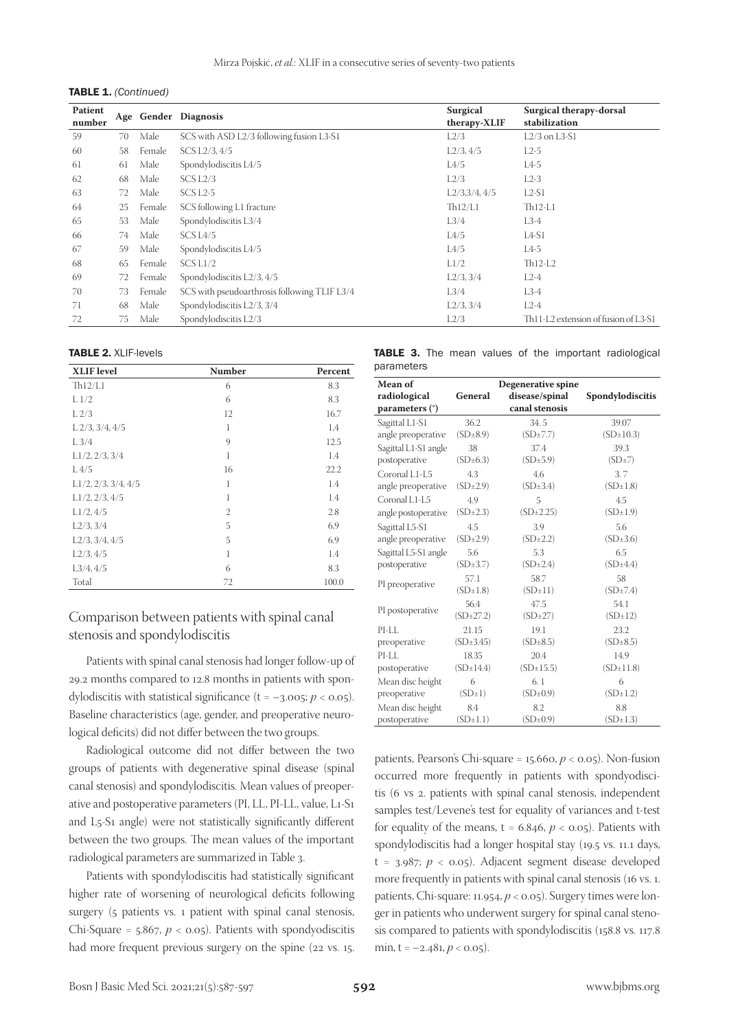|  | <b>TABLE 1.</b> (Continued) |
|--|-----------------------------|
|--|-----------------------------|

| <b>Patient</b><br>number |    |        | Age Gender Diagnosis                         | <b>Surgical</b><br>therapy-XLIF | Surgical therapy-dorsal<br>stabilization |
|--------------------------|----|--------|----------------------------------------------|---------------------------------|------------------------------------------|
| 59                       | 70 | Male   | SCS with ASD L2/3 following fusion L3-S1     | L2/3                            | $L2/3$ on $L3-S1$                        |
| 60                       | 58 | Female | SCS L2/3, 4/5                                | L2/3, 4/5                       | $L2-5$                                   |
| 61                       | 61 | Male   | Spondylodiscitis L4/5                        | L4/5                            | $L4-5$                                   |
| 62                       | 68 | Male   | SCS L2/3                                     | L2/3                            | $L2-3$                                   |
| 63                       | 72 | Male   | SCS L <sub>2</sub> -5                        | L2/3,3/4,4/5                    | $L2-S1$                                  |
| 64                       | 25 | Female | SCS following L1 fracture                    | Th12/L1                         | $Th12-L1$                                |
| 65                       | 53 | Male   | Spondylodiscitis L3/4                        | L3/4                            | L3-4                                     |
| 66                       | 74 | Male   | SCS L4/5                                     | L4/5                            | $L4-S1$                                  |
| 67                       | 59 | Male   | Spondylodiscitis L4/5                        | L4/5                            | $L4-5$                                   |
| 68                       | 65 | Female | SCS L1/2                                     | L1/2                            | $Th12-L2$                                |
| 69                       | 72 | Female | Spondylodiscitis L2/3, 4/5                   | L2/3, 3/4                       | $L2-4$                                   |
| 70                       | 73 | Female | SCS with pseudoarthrosis following TLIF L3/4 | L3/4                            | L3-4                                     |
| 71                       | 68 | Male   | Spondylodiscitis L2/3, 3/4                   | L2/3, 3/4                       | $L2-4$                                   |
| 72                       | 75 | Male   | Spondylodiscitis L2/3                        | L2/3                            | Th11-L2 extension of fusion of L3-S1     |

#### TABLE 2. XLIF-levels

| <b>XLIF</b> level              | Number         | Percent |
|--------------------------------|----------------|---------|
| Th12/L1                        | 6              | 8.3     |
| L <sub>1/2</sub>               | 6              | 8.3     |
| L <sub>2/3</sub>               | 12             | 16.7    |
| $L$ 2/3, 3/4, 4/5              | 1              | 1,4     |
| $L\frac{3}{4}$                 | 9              | 12.5    |
| L1/2, 2/3, 3/4                 | 1              | 1.4     |
| L4/5                           | 16             | 22.2    |
| $L1/2$ , $2/3$ , $3/4$ , $4/5$ | 1              | 1.4     |
| L1/2, 2/3, 4/5                 | 1              | 1.4     |
| L1/2, 4/5                      | $\overline{2}$ | 2.8     |
| L2/3, 3/4                      | 5              | 6,9     |
| L2/3, 3/4, 4/5                 | 5              | 6.9     |
| L2/3, 4/5                      | 1              | 1.4     |
| L3/4, 4/5                      | 6              | 8.3     |
| Total                          | 72             | 100.0   |

# Comparison between patients with spinal canal stenosis and spondylodiscitis

Patients with spinal canal stenosis had longer follow-up of 29.2 months compared to 12.8 months in patients with spondylodiscitis with statistical significance  $(t = -3.005; p < 0.05)$ . Baseline characteristics (age, gender, and preoperative neurological deficits) did not differ between the two groups.

Radiological outcome did not differ between the two groups of patients with degenerative spinal disease (spinal canal stenosis) and spondylodiscitis. Mean values of preoperative and postoperative parameters (PI, LL, PI-LL, value, L1-S1 and L5-S1 angle) were not statistically significantly different between the two groups. The mean values of the important radiological parameters are summarized in Table 3.

Patients with spondylodiscitis had statistically significant higher rate of worsening of neurological deficits following surgery (5 patients vs. 1 patient with spinal canal stenosis, Chi-Square =  $5.867$ ,  $p < 0.05$ ). Patients with spondyodiscitis had more frequent previous surgery on the spine (22 vs. 15.

|            |  |  |  | <b>TABLE 3.</b> The mean values of the important radiological |
|------------|--|--|--|---------------------------------------------------------------|
| parameters |  |  |  |                                                               |

| Mean of              |                        | Degenerative spine     |                       |
|----------------------|------------------------|------------------------|-----------------------|
| radiological         | General                | disease/spinal         | Spondylodiscitis      |
| parameters (°)       |                        | canal stenosis         |                       |
| Sagittal L1-S1       | 36.2                   | 34.5                   | 39.07                 |
| angle preoperative   | $(SD \pm 8.9)$         | (SD±7.7)               | $(SD \pm 10.3)$       |
| Sagittal L1-S1 angle | 38                     | 37.4                   | 39.3                  |
| postoperative        | $(SD{\pm}6.3)$         | $(SD \pm 5.9)$         | (SD±7)                |
| Coronal L1-L5        | 4.3                    | 4.6                    | 3.7                   |
| angle preoperative   | (SD <sub>±</sub> 2.9)  | (SD±3.4)               | $(SD\pm1.8)$          |
| Coronal L1-L5        | 4.9                    | 5                      | 4.5                   |
| angle postoperative  | (SD <sub>±</sub> 2.3)  | (SD <sub>±</sub> 2.25) | (SD±1.9)              |
| Sagittal L5-S1       | 4.5                    | 3.9                    | 5.6                   |
| angle preoperative   | (SD <sub>±</sub> 2.9)  | (SD <sub>±</sub> 2.2)  | $(SD{\pm}3.6)$        |
| Sagittal L5-S1 angle | 5.6                    | 5.3                    | 6.5                   |
| postoperative        | (SD <sub>±</sub> 3.7)  | (SD <sub>±</sub> 2.4)  | (SD±4.4)              |
|                      | 57.1                   | 58.7                   | 58                    |
| PI preoperative      | $(SD \pm 1.8)$         | $(SD \pm 11)$          | (SD±7.4)              |
| PI postoperative     | 56.4                   | 47.5                   | 54.1                  |
|                      | (SD <sub>±</sub> 27.2) | (SD <sub>±</sub> 27)   | $(SD \pm 12)$         |
| PI-LL                | 21.15                  | 19.1                   | 23.2                  |
| preoperative         | (SD <sub>±</sub> 3.45) | $(SD\pm 8.5)$          | (SD <sub>±</sub> 8.5) |
| $PI-II.$             | 18.35                  | 20.4                   | 14.9                  |
| postoperative        | (SD±14.4)              | $(SD \pm 15.5)$        | $(SD \pm 11.8)$       |
| Mean disc height     | 6                      | 6.1                    | 6                     |
| preoperative         | $(SD\pm1)$             | $(SD\pm0.9)$           | (SD±1.2)              |
| Mean disc height     | 8.4                    | 8.2                    | 8.8                   |
| postoperative        | $(SD \pm 1.1)$         | (SD±0.9)               | $(SD \pm 1.3)$        |

patients, Pearson's Chi-square = 15.660, *p* < 0.05). Non-fusion occurred more frequently in patients with spondyodiscitis (6 vs 2. patients with spinal canal stenosis, independent samples test/Levene's test for equality of variances and t-test for equality of the means,  $t = 6.846$ ,  $p < 0.05$ ). Patients with spondylodiscitis had a longer hospital stay (19.5 vs. 11.1 days,  $t = 3.987$ ;  $p < 0.05$ ). Adjacent segment disease developed more frequently in patients with spinal canal stenosis (16 vs. 1. patients, Chi-square: 11.954, *p* < 0.05). Surgery times were longer in patients who underwent surgery for spinal canal stenosis compared to patients with spondylodiscitis (158.8 vs. 117.8 min,  $t = -2.481, p < 0.05$ ).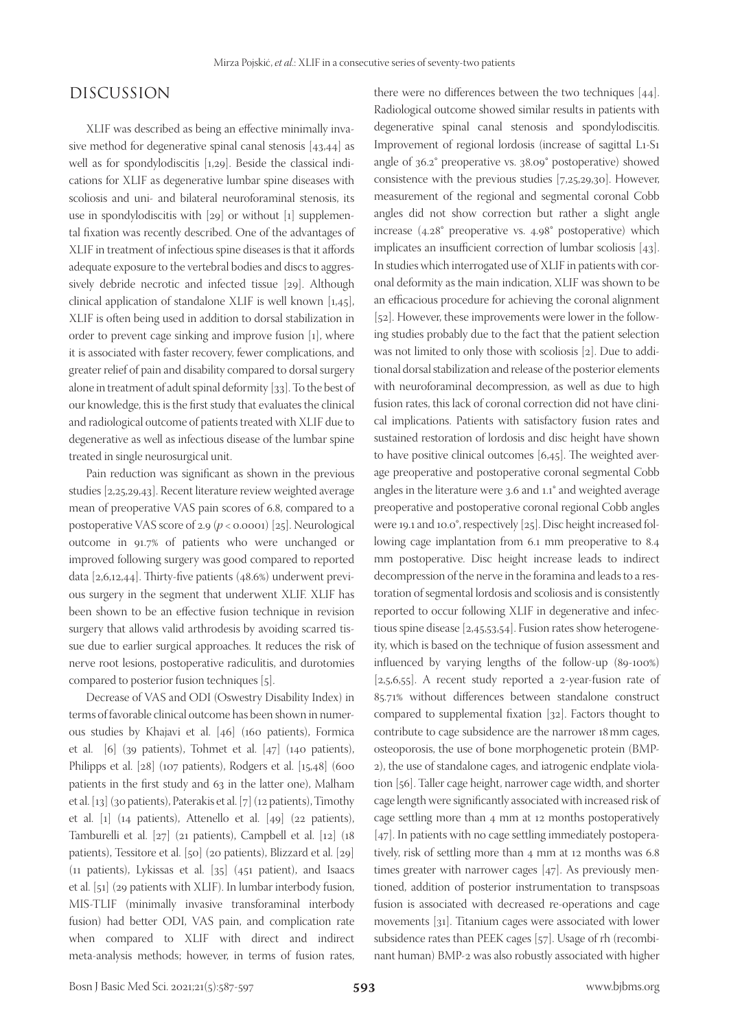# DISCUSSION

XLIF was described as being an effective minimally invasive method for degenerative spinal canal stenosis [43,44] as well as for spondylodiscitis [1,29]. Beside the classical indications for XLIF as degenerative lumbar spine diseases with scoliosis and uni- and bilateral neuroforaminal stenosis, its use in spondylodiscitis with [29] or without [1] supplemental fixation was recently described. One of the advantages of XLIF in treatment of infectious spine diseases is that it affords adequate exposure to the vertebral bodies and discs to aggressively debride necrotic and infected tissue [29]. Although clinical application of standalone XLIF is well known [1,45], XLIF is often being used in addition to dorsal stabilization in order to prevent cage sinking and improve fusion [1], where it is associated with faster recovery, fewer complications, and greater relief of pain and disability compared to dorsal surgery alone in treatment of adult spinal deformity [33]. To the best of our knowledge, this is the first study that evaluates the clinical and radiological outcome of patients treated with XLIF due to degenerative as well as infectious disease of the lumbar spine treated in single neurosurgical unit.

Pain reduction was significant as shown in the previous studies [2,25,29,43]. Recent literature review weighted average mean of preoperative VAS pain scores of 6.8, compared to a postoperative VAS score of 2.9 (*p* < 0.0001) [25]. Neurological outcome in 91.7% of patients who were unchanged or improved following surgery was good compared to reported data [2,6,12,44]. Thirty-five patients (48.6%) underwent previous surgery in the segment that underwent XLIF. XLIF has been shown to be an effective fusion technique in revision surgery that allows valid arthrodesis by avoiding scarred tissue due to earlier surgical approaches. It reduces the risk of nerve root lesions, postoperative radiculitis, and durotomies compared to posterior fusion techniques [5].

Decrease of VAS and ODI (Oswestry Disability Index) in terms of favorable clinical outcome has been shown in numerous studies by Khajavi et al. [46] (160 patients), Formica et al. [6] (39 patients), Tohmet et al. [47] (140 patients), Philipps et al. [28] (107 patients), Rodgers et al. [15,48] (600 patients in the first study and 63 in the latter one), Malham et al. [13] (30 patients), Paterakis et al. [7] (12 patients), Timothy et al. [1] (14 patients), Attenello et al. [49] (22 patients), Tamburelli et al. [27] (21 patients), Campbell et al. [12] (18 patients), Tessitore et al. [50] (20 patients), Blizzard et al. [29] (11 patients), Lykissas et al. [35] (451 patient), and Isaacs et al. [51] (29 patients with XLIF). In lumbar interbody fusion, MIS-TLIF (minimally invasive transforaminal interbody fusion) had better ODI, VAS pain, and complication rate when compared to XLIF with direct and indirect meta-analysis methods; however, in terms of fusion rates,

there were no differences between the two techniques [44]. Radiological outcome showed similar results in patients with degenerative spinal canal stenosis and spondylodiscitis. Improvement of regional lordosis (increase of sagittal L1-S1 angle of 36.2° preoperative vs. 38.09° postoperative) showed consistence with the previous studies [7,25,29,30]. However, measurement of the regional and segmental coronal Cobb angles did not show correction but rather a slight angle increase (4.28° preoperative vs. 4.98° postoperative) which implicates an insufficient correction of lumbar scoliosis [43]. In studies which interrogated use of XLIF in patients with coronal deformity as the main indication, XLIF was shown to be an efficacious procedure for achieving the coronal alignment [52]. However, these improvements were lower in the following studies probably due to the fact that the patient selection was not limited to only those with scoliosis [2]. Due to additional dorsal stabilization and release of the posterior elements with neuroforaminal decompression, as well as due to high fusion rates, this lack of coronal correction did not have clinical implications. Patients with satisfactory fusion rates and sustained restoration of lordosis and disc height have shown to have positive clinical outcomes [6,45]. The weighted average preoperative and postoperative coronal segmental Cobb angles in the literature were 3.6 and 1.1° and weighted average preoperative and postoperative coronal regional Cobb angles were 19.1 and 10.0°, respectively [25]. Disc height increased following cage implantation from 6.1 mm preoperative to 8.4 mm postoperative. Disc height increase leads to indirect decompression of the nerve in the foramina and leads to a restoration of segmental lordosis and scoliosis and is consistently reported to occur following XLIF in degenerative and infectious spine disease [2,45,53,54]. Fusion rates show heterogeneity, which is based on the technique of fusion assessment and influenced by varying lengths of the follow-up (89-100%) [ $2,5,6,55$ ]. A recent study reported a 2-year-fusion rate of 85.71% without differences between standalone construct compared to supplemental fixation [32]. Factors thought to contribute to cage subsidence are the narrower 18mm cages, osteoporosis, the use of bone morphogenetic protein (BMP-2), the use of standalone cages, and iatrogenic endplate violation [56]. Taller cage height, narrower cage width, and shorter cage length were significantly associated with increased risk of cage settling more than 4 mm at 12 months postoperatively [47]. In patients with no cage settling immediately postoperatively, risk of settling more than 4 mm at 12 months was 6.8 times greater with narrower cages [47]. As previously mentioned, addition of posterior instrumentation to transpsoas fusion is associated with decreased re-operations and cage movements [31]. Titanium cages were associated with lower subsidence rates than PEEK cages [57]. Usage of rh (recombinant human) BMP-2 was also robustly associated with higher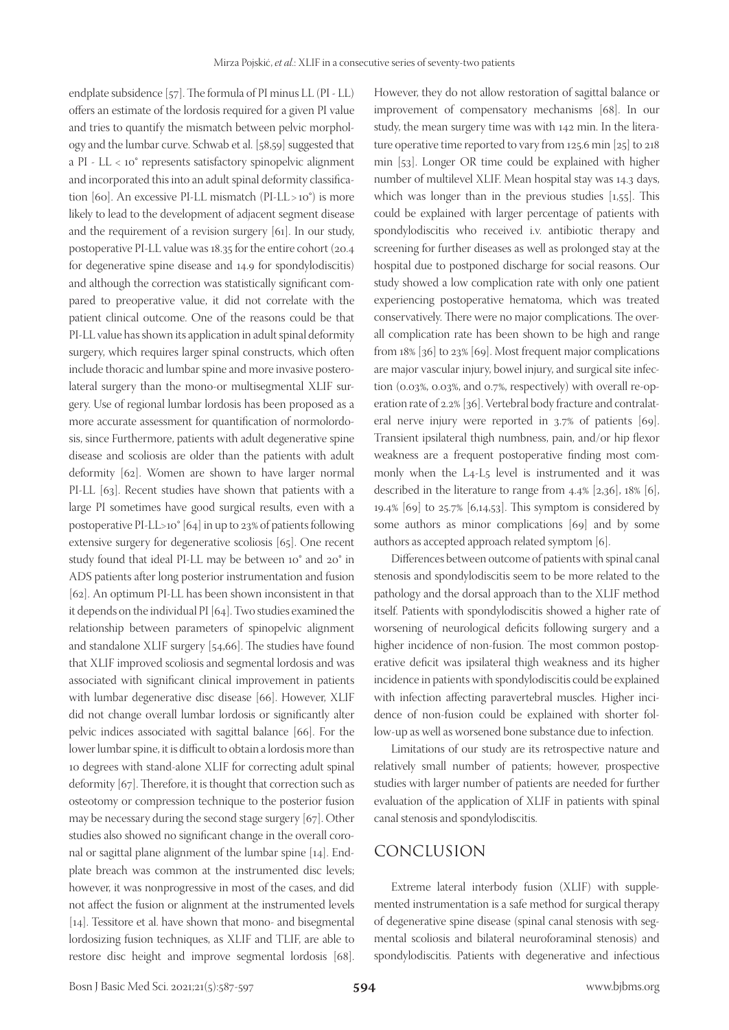endplate subsidence [57]. The formula of PI minus LL (PI - LL) offers an estimate of the lordosis required for a given PI value and tries to quantify the mismatch between pelvic morphology and the lumbar curve. Schwab et al. [58,59] suggested that a PI - LL < 10° represents satisfactory spinopelvic alignment and incorporated this into an adult spinal deformity classification [60]. An excessive PI-LL mismatch (PI-LL> 10°) is more likely to lead to the development of adjacent segment disease and the requirement of a revision surgery [61]. In our study, postoperative PI-LL value was 18.35 for the entire cohort (20.4 for degenerative spine disease and 14.9 for spondylodiscitis) and although the correction was statistically significant compared to preoperative value, it did not correlate with the patient clinical outcome. One of the reasons could be that PI-LL value has shown its application in adult spinal deformity surgery, which requires larger spinal constructs, which often include thoracic and lumbar spine and more invasive posterolateral surgery than the mono-or multisegmental XLIF surgery. Use of regional lumbar lordosis has been proposed as a more accurate assessment for quantification of normolordosis, since Furthermore, patients with adult degenerative spine disease and scoliosis are older than the patients with adult deformity [62]. Women are shown to have larger normal PI-LL [63]. Recent studies have shown that patients with a large PI sometimes have good surgical results, even with a postoperative PI-LL>10° [64] in up to 23% of patients following extensive surgery for degenerative scoliosis [65]. One recent study found that ideal PI-LL may be between 10° and 20° in ADS patients after long posterior instrumentation and fusion [62]. An optimum PI-LL has been shown inconsistent in that it depends on the individual PI [64]. Two studies examined the relationship between parameters of spinopelvic alignment and standalone XLIF surgery [54,66]. The studies have found that XLIF improved scoliosis and segmental lordosis and was associated with significant clinical improvement in patients with lumbar degenerative disc disease [66]. However, XLIF did not change overall lumbar lordosis or significantly alter pelvic indices associated with sagittal balance [66]. For the lower lumbar spine, it is difficult to obtain a lordosis more than 10 degrees with stand-alone XLIF for correcting adult spinal deformity [67]. Therefore, it is thought that correction such as osteotomy or compression technique to the posterior fusion may be necessary during the second stage surgery [67]. Other studies also showed no significant change in the overall coronal or sagittal plane alignment of the lumbar spine [14]. Endplate breach was common at the instrumented disc levels; however, it was nonprogressive in most of the cases, and did not affect the fusion or alignment at the instrumented levels [14]. Tessitore et al. have shown that mono- and bisegmental lordosizing fusion techniques, as XLIF and TLIF, are able to restore disc height and improve segmental lordosis [68].

However, they do not allow restoration of sagittal balance or improvement of compensatory mechanisms [68]. In our study, the mean surgery time was with 142 min. In the literature operative time reported to vary from 125.6 min [25] to 218 min [53]. Longer OR time could be explained with higher number of multilevel XLIF. Mean hospital stay was 14.3 days, which was longer than in the previous studies [1,55]. This could be explained with larger percentage of patients with spondylodiscitis who received i.v. antibiotic therapy and screening for further diseases as well as prolonged stay at the hospital due to postponed discharge for social reasons. Our study showed a low complication rate with only one patient experiencing postoperative hematoma, which was treated conservatively. There were no major complications. The overall complication rate has been shown to be high and range from 18% [36] to 23% [69]. Most frequent major complications are major vascular injury, bowel injury, and surgical site infection (0.03%, 0.03%, and 0.7%, respectively) with overall re-operation rate of 2.2% [36]. Vertebral body fracture and contralateral nerve injury were reported in 3.7% of patients [69]. Transient ipsilateral thigh numbness, pain, and/or hip flexor weakness are a frequent postoperative finding most commonly when the L4-L5 level is instrumented and it was described in the literature to range from 4.4% [2,36], 18% [6], 19.4% [69] to 25.7% [6,14,53]. This symptom is considered by some authors as minor complications [69] and by some authors as accepted approach related symptom [6].

Differences between outcome of patients with spinal canal stenosis and spondylodiscitis seem to be more related to the pathology and the dorsal approach than to the XLIF method itself. Patients with spondylodiscitis showed a higher rate of worsening of neurological deficits following surgery and a higher incidence of non-fusion. The most common postoperative deficit was ipsilateral thigh weakness and its higher incidence in patients with spondylodiscitis could be explained with infection affecting paravertebral muscles. Higher incidence of non-fusion could be explained with shorter follow-up as well as worsened bone substance due to infection.

Limitations of our study are its retrospective nature and relatively small number of patients; however, prospective studies with larger number of patients are needed for further evaluation of the application of XLIF in patients with spinal canal stenosis and spondylodiscitis.

## CONCLUSION

Extreme lateral interbody fusion (XLIF) with supplemented instrumentation is a safe method for surgical therapy of degenerative spine disease (spinal canal stenosis with segmental scoliosis and bilateral neuroforaminal stenosis) and spondylodiscitis. Patients with degenerative and infectious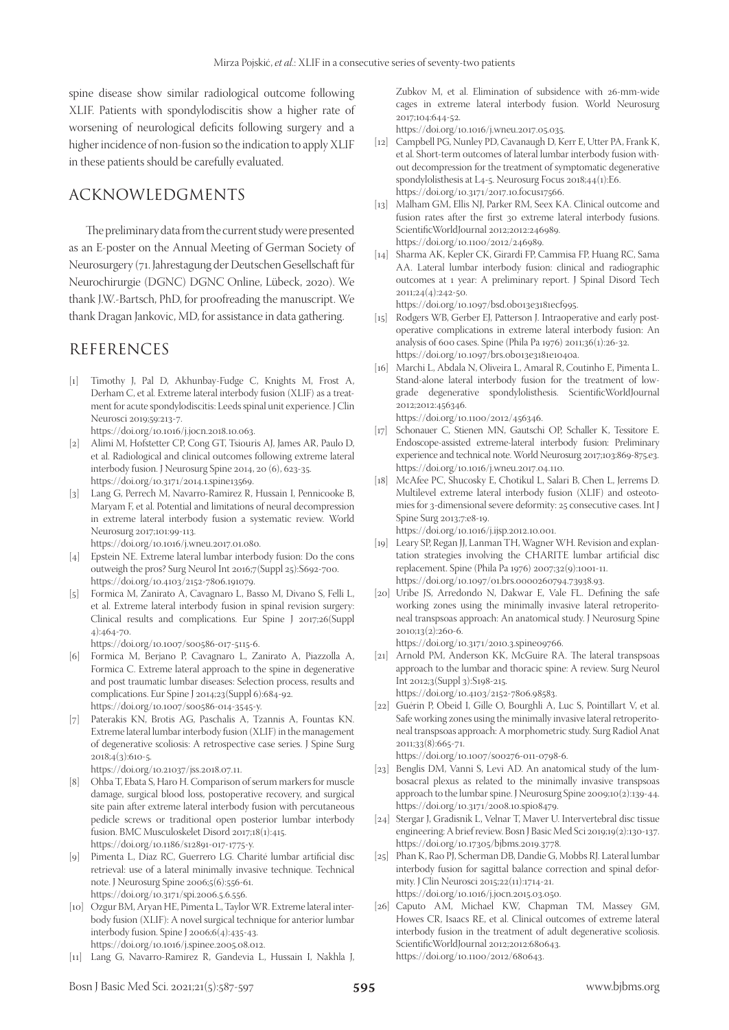spine disease show similar radiological outcome following XLIF. Patients with spondylodiscitis show a higher rate of worsening of neurological deficits following surgery and a higher incidence of non-fusion so the indication to apply XLIF in these patients should be carefully evaluated.

# ACKNOWLEDGMENTS

The preliminary data from the current study were presented as an E-poster on the Annual Meeting of German Society of Neurosurgery (71. Jahrestagung der Deutschen Gesellschaft für Neurochirurgie (DGNC) DGNC Online, Lübeck, 2020). We thank J.W.-Bartsch, PhD, for proofreading the manuscript. We thank Dragan Jankovic, MD, for assistance in data gathering.

# REFERENCES

- [1] Timothy J, Pal D, Akhunbay-Fudge C, Knights M, Frost A, Derham C, et al. Extreme lateral interbody fusion (XLIF) as a treatment for acute spondylodiscitis: Leeds spinal unit experience. J Clin Neurosci 2019;59:213-7.
	- https://doi.org/10.1016/j.jocn.2018.10.063.
- [2] Alimi M, Hofstetter CP, Cong GT, Tsiouris AJ, James AR, Paulo D, et al. Radiological and clinical outcomes following extreme lateral interbody fusion. J Neurosurg Spine 2014, 20 (6), 623-35. https://doi.org/10.3171/2014.1.spine13569.
- [3] Lang G, Perrech M, Navarro-Ramirez R, Hussain I, Pennicooke B, Maryam F, et al. Potential and limitations of neural decompression in extreme lateral interbody fusion a systematic review. World Neurosurg 2017;101:99-113.

https://doi.org/10.1016/j.wneu.2017.01.080.

- [4] Epstein NE. Extreme lateral lumbar interbody fusion: Do the cons outweigh the pros? Surg Neurol Int 2016;7(Suppl 25):S692-700. https://doi.org/10.4103/2152-7806.191079.
- [5] Formica M, Zanirato A, Cavagnaro L, Basso M, Divano S, Felli L, et al. Extreme lateral interbody fusion in spinal revision surgery: Clinical results and complications. Eur Spine J 2017;26(Suppl 4):464-70.

https://doi.org/10.1007/s00586-017-5115-6.

- [6] Formica M, Berjano P, Cavagnaro L, Zanirato A, Piazzolla A, Formica C. Extreme lateral approach to the spine in degenerative and post traumatic lumbar diseases: Selection process, results and complications. Eur Spine J 2014;23(Suppl 6):684-92. https://doi.org/10.1007/s00586-014-3545-y.
- [7] Paterakis KN, Brotis AG, Paschalis A, Tzannis A, Fountas KN. Extreme lateral lumbar interbody fusion (XLIF) in the management of degenerative scoliosis: A retrospective case series. J Spine Surg  $2018;4(3):610-5$ .

https://doi.org/10.21037/jss.2018.07.11.

- [8] Ohba T, Ebata S, Haro H. Comparison of serum markers for muscle damage, surgical blood loss, postoperative recovery, and surgical site pain after extreme lateral interbody fusion with percutaneous pedicle screws or traditional open posterior lumbar interbody fusion. BMC Musculoskelet Disord 2017;18(1):415. https://doi.org/10.1186/s12891-017-1775-y.
- [9] Pimenta L, Díaz RC, Guerrero LG. Charité lumbar artificial disc retrieval: use of a lateral minimally invasive technique. Technical note. J Neurosurg Spine 2006;5(6):556-61. https://doi.org/10.3171/spi.2006.5.6.556.
- [10] Ozgur BM, Aryan HE, Pimenta L, Taylor WR. Extreme lateral interbody fusion (XLIF): A novel surgical technique for anterior lumbar interbody fusion. Spine J 2006;6(4):435-43. https://doi.org/10.1016/j.spinee.2005.08.012.
- [11] Lang G, Navarro-Ramirez R, Gandevia L, Hussain I, Nakhla J,

Zubkov M, et al. Elimination of subsidence with 26-mm-wide cages in extreme lateral interbody fusion. World Neurosurg 2017;104:644-52.

https://doi.org/10.1016/j.wneu.2017.05.035.

- [12] Campbell PG, Nunley PD, Cavanaugh D, Kerr E, Utter PA, Frank K, et al. Short-term outcomes of lateral lumbar interbody fusion without decompression for the treatment of symptomatic degenerative spondylolisthesis at L4-5. Neurosurg Focus 2018;44(1):E6. https://doi.org/10.3171/2017.10.focus17566.
- [13] Malham GM, Ellis NJ, Parker RM, Seex KA. Clinical outcome and fusion rates after the first 30 extreme lateral interbody fusions. ScientificWorldJournal 2012;2012:246989. https://doi.org/10.1100/2012/246989.
- [14] Sharma AK, Kepler CK, Girardi FP, Cammisa FP, Huang RC, Sama AA. Lateral lumbar interbody fusion: clinical and radiographic outcomes at 1 year: A preliminary report. J Spinal Disord Tech 2011;24(4):242-50.

https://doi.org/10.1097/bsd.0b013e3181ecf995.

- [15] Rodgers WB, Gerber EJ, Patterson J. Intraoperative and early postoperative complications in extreme lateral interbody fusion: An analysis of 600 cases. Spine (Phila Pa 1976) 2011;36(1):26-32. https://doi.org/10.1097/brs.0b013e3181e1040a.
- [16] Marchi L, Abdala N, Oliveira L, Amaral R, Coutinho E, Pimenta L. Stand-alone lateral interbody fusion for the treatment of lowgrade degenerative spondylolisthesis. ScientificWorldJournal 2012;2012:456346. https://doi.org/10.1100/2012/456346.
- [17] Schonauer C, Stienen MN, Gautschi OP, Schaller K, Tessitore E. Endoscope-assisted extreme-lateral interbody fusion: Preliminary experience and technical note. World Neurosurg 2017;103:869-875.e3. https://doi.org/10.1016/j.wneu.2017.04.110.
- [18] McAfee PC, Shucosky E, Chotikul L, Salari B, Chen L, Jerrems D. Multilevel extreme lateral interbody fusion (XLIF) and osteotomies for 3-dimensional severe deformity: 25 consecutive cases. Int J Spine Surg 2013;7:e8-19. https://doi.org/10.1016/j.ijsp.2012.10.001.
- [19] Leary SP, Regan JJ, Lanman TH, Wagner WH. Revision and explantation strategies involving the CHARITE lumbar artificial disc replacement. Spine (Phila Pa 1976) 2007;32(9):1001-11. https://doi.org/10.1097/01.brs.0000260794.73938.93.
- [20] Uribe JS, Arredondo N, Dakwar E, Vale FL. Defining the safe working zones using the minimally invasive lateral retroperitoneal transpsoas approach: An anatomical study. J Neurosurg Spine 2010;13(2):260-6.

https://doi.org/10.3171/2010.3.spine09766.

[21] Arnold PM, Anderson KK, McGuire RA. The lateral transpsoas approach to the lumbar and thoracic spine: A review. Surg Neurol Int 2012;3(Suppl 3):S198-215. https://doi.org/10.4103/2152-7806.98583.

[22] Guérin P, Obeid I, Gille O, Bourghli A, Luc S, Pointillart V, et al. Safe working zones using the minimally invasive lateral retroperitoneal transpsoas approach: A morphometric study. Surg Radiol Anat 2011;33(8):665-71.

https://doi.org/10.1007/s00276-011-0798-6.

- [23] Benglis DM, Vanni S, Levi AD. An anatomical study of the lumbosacral plexus as related to the minimally invasive transpsoas approach to the lumbar spine. J Neurosurg Spine 2009;10(2):139-44. https://doi.org/10.3171/2008.10.spi08479.
- [24] Stergar J, Gradisnik L, Velnar T, Maver U. Intervertebral disc tissue engineering: A brief review. Bosn J Basic Med Sci 2019;19(2):130-137. https://doi.org/10.17305/bjbms.2019.3778.
- [25] Phan K, Rao PJ, Scherman DB, Dandie G, Mobbs RJ. Lateral lumbar interbody fusion for sagittal balance correction and spinal deformity. J Clin Neurosci 2015;22(11):1714-21. https://doi.org/10.1016/j.jocn.2015.03.050.
- [26] Caputo AM, Michael KW, Chapman TM, Massey GM, Howes CR, Isaacs RE, et al. Clinical outcomes of extreme lateral interbody fusion in the treatment of adult degenerative scoliosis. ScientificWorldJournal 2012;2012:680643. https://doi.org/10.1100/2012/680643.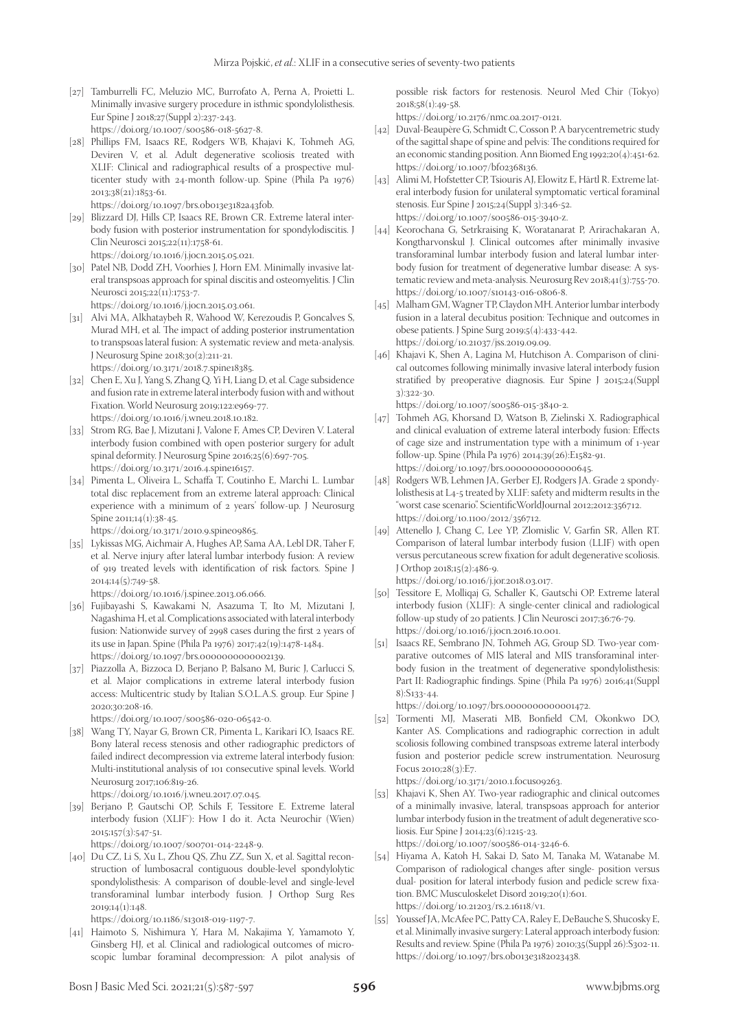- [27] Tamburrelli FC, Meluzio MC, Burrofato A, Perna A, Proietti L. Minimally invasive surgery procedure in isthmic spondylolisthesis. Eur Spine J 2018;27(Suppl 2):237-243. https://doi.org/10.1007/s00586-018-5627-8.
- [28] Phillips FM, Isaacs RE, Rodgers WB, Khajavi K, Tohmeh AG, Deviren V, et al. Adult degenerative scoliosis treated with XLIF: Clinical and radiographical results of a prospective multicenter study with 24-month follow-up. Spine (Phila Pa 1976) 2013;38(21):1853-61.

https://doi.org/10.1097/brs.0b013e3182a43f0b.

- [29] Blizzard DJ, Hills CP, Isaacs RE, Brown CR. Extreme lateral interbody fusion with posterior instrumentation for spondylodiscitis. J Clin Neurosci 2015;22(11):1758-61. https://doi.org/10.1016/j.jocn.2015.05.021.
- [30] Patel NB, Dodd ZH, Voorhies J, Horn EM. Minimally invasive lateral transpsoas approach for spinal discitis and osteomyelitis. J Clin Neurosci 2015;22(11):1753-7.

https://doi.org/10.1016/j.jocn.2015.03.061.

- [31] Alvi MA, Alkhataybeh R, Wahood W, Kerezoudis P, Goncalves S, Murad MH, et al. The impact of adding posterior instrumentation to transpsoas lateral fusion: A systematic review and meta-analysis. J Neurosurg Spine 2018;30(2):211-21. https://doi.org/10.3171/2018.7.spine18385.
- [32] Chen E, Xu J, Yang S, Zhang Q, Yi H, Liang D, et al. Cage subsidence and fusion rate in extreme lateral interbody fusion with and without Fixation. World Neurosurg 2019;122:e969-77. https://doi.org/10.1016/j.wneu.2018.10.182.
- [33] Strom RG, Bae J, Mizutani J, Valone F, Ames CP, Deviren V. Lateral interbody fusion combined with open posterior surgery for adult spinal deformity. J Neurosurg Spine 2016;25(6):697-705. https://doi.org/10.3171/2016.4.spine16157.
- [34] Pimenta L, Oliveira L, Schaffa T, Coutinho E, Marchi L. Lumbar total disc replacement from an extreme lateral approach: Clinical experience with a minimum of 2 years' follow-up. J Neurosurg Spine 2011;14(1):38-45.

https://doi.org/10.3171/2010.9.spine09865.

[35] Lykissas MG, Aichmair A, Hughes AP, Sama AA, Lebl DR, Taher F, et al. Nerve injury after lateral lumbar interbody fusion: A review of 919 treated levels with identification of risk factors. Spine J 2014;14(5):749-58.

https://doi.org/10.1016/j.spinee.2013.06.066.

- [36] Fujibayashi S, Kawakami N, Asazuma T, Ito M, Mizutani J, Nagashima H, et al. Complications associated with lateral interbody fusion: Nationwide survey of 2998 cases during the first 2 years of its use in Japan. Spine (Phila Pa 1976) 2017;42(19):1478-1484. https://doi.org/10.1097/brs.0000000000002139.
- [37] Piazzolla A, Bizzoca D, Berjano P, Balsano M, Buric J, Carlucci S, et al. Major complications in extreme lateral interbody fusion access: Multicentric study by Italian S.O.L.A.S. group. Eur Spine J 2020;30:208-16.

https://doi.org/10.1007/s00586-020-06542-0.

[38] Wang TY, Nayar G, Brown CR, Pimenta L, Karikari IO, Isaacs RE. Bony lateral recess stenosis and other radiographic predictors of failed indirect decompression via extreme lateral interbody fusion: Multi-institutional analysis of 101 consecutive spinal levels. World Neurosurg 2017;106:819-26.

https://doi.org/10.1016/j.wneu.2017.07.045.

[39] Berjano P, Gautschi OP, Schils F, Tessitore E. Extreme lateral interbody fusion (XLIF®): How I do it. Acta Neurochir (Wien) 2015;157(3):547-51.

https://doi.org/10.1007/s00701-014-2248-9.

[40] Du CZ, Li S, Xu L, Zhou QS, Zhu ZZ, Sun X, et al. Sagittal reconstruction of lumbosacral contiguous double-level spondylolytic spondylolisthesis: A comparison of double-level and single-level transforaminal lumbar interbody fusion. J Orthop Surg Res 2019;14(1):148.

https://doi.org/10.1186/s13018-019-1197-7.

[41] Haimoto S, Nishimura Y, Hara M, Nakajima Y, Yamamoto Y, Ginsberg HJ, et al. Clinical and radiological outcomes of microscopic lumbar foraminal decompression: A pilot analysis of possible risk factors for restenosis. Neurol Med Chir (Tokyo) 2018;58(1):49-58.

https://doi.org/10.2176/nmc.oa.2017-0121.

- [42] Duval-Beaupère G, Schmidt C, Cosson P. A barycentremetric study of the sagittal shape of spine and pelvis: The conditions required for an economic standing position. Ann Biomed Eng 1992;20(4):451-62. https://doi.org/10.1007/bf02368136.
- [43] Alimi M, Hofstetter CP, Tsiouris AJ, Elowitz E, Härtl R. Extreme lateral interbody fusion for unilateral symptomatic vertical foraminal stenosis. Eur Spine J 2015;24(Suppl 3):346-52. https://doi.org/10.1007/s00586-015-3940-z.
- [44] Keorochana G, Setrkraising K, Woratanarat P, Arirachakaran A, Kongtharvonskul J. Clinical outcomes after minimally invasive transforaminal lumbar interbody fusion and lateral lumbar interbody fusion for treatment of degenerative lumbar disease: A systematic review and meta-analysis. Neurosurg Rev 2018;41(3):755-70. https://doi.org/10.1007/s10143-016-0806-8.
- [45] Malham GM, Wagner TP, Claydon MH. Anterior lumbar interbody fusion in a lateral decubitus position: Technique and outcomes in obese patients. J Spine Surg 2019;5(4):433-442. https://doi.org/10.21037/jss.2019.09.09.
- [46] Khajavi K, Shen A, Lagina M, Hutchison A. Comparison of clinical outcomes following minimally invasive lateral interbody fusion stratified by preoperative diagnosis. Eur Spine J 2015;24(Suppl 3):322-30.

https://doi.org/10.1007/s00586-015-3840-2.

- [47] Tohmeh AG, Khorsand D, Watson B, Zielinski X. Radiographical and clinical evaluation of extreme lateral interbody fusion: Effects of cage size and instrumentation type with a minimum of 1-year follow-up. Spine (Phila Pa 1976) 2014;39(26):E1582-91. https://doi.org/10.1097/brs.0000000000000645.
- [48] Rodgers WB, Lehmen JA, Gerber EJ, Rodgers JA. Grade 2 spondylolisthesis at L4-5 treated by XLIF: safety and midterm results in the "worst case scenario". ScientificWorldJournal 2012;2012:356712. https://doi.org/10.1100/2012/356712.
- [49] Attenello J, Chang C, Lee YP, Zlomislic V, Garfin SR, Allen RT. Comparison of lateral lumbar interbody fusion (LLIF) with open versus percutaneous screw fixation for adult degenerative scoliosis. J Orthop 2018;15(2):486-9.

https://doi.org/10.1016/j.jor.2018.03.017. [50] Tessitore E, Molliqaj G, Schaller K, Gautschi OP. Extreme lateral

- interbody fusion (XLIF): A single-center clinical and radiological follow-up study of 20 patients. J Clin Neurosci 2017;36:76-79. https://doi.org/10.1016/j.jocn.2016.10.001.
- [51] Isaacs RE, Sembrano JN, Tohmeh AG, Group SD. Two-year comparative outcomes of MIS lateral and MIS transforaminal interbody fusion in the treatment of degenerative spondylolisthesis: Part II: Radiographic findings. Spine (Phila Pa 1976) 2016;41(Suppl 8):S133-44.

https://doi.org/10.1097/brs.0000000000001472.

[52] Tormenti MJ, Maserati MB, Bonfield CM, Okonkwo DO, Kanter AS. Complications and radiographic correction in adult scoliosis following combined transpsoas extreme lateral interbody fusion and posterior pedicle screw instrumentation. Neurosurg Focus 2010;28(3):E7.

https://doi.org/10.3171/2010.1.focus09263.

- [53] Khajavi K, Shen AY. Two-year radiographic and clinical outcomes of a minimally invasive, lateral, transpsoas approach for anterior lumbar interbody fusion in the treatment of adult degenerative scoliosis. Eur Spine J 2014;23(6):1215-23. https://doi.org/10.1007/s00586-014-3246-6.
- [54] Hiyama A, Katoh H, Sakai D, Sato M, Tanaka M, Watanabe M. Comparison of radiological changes after single- position versus dual- position for lateral interbody fusion and pedicle screw fixation. BMC Musculoskelet Disord 2019;20(1):601. https://doi.org/10.21203/rs.2.16118/v1.
- [55] Youssef JA, McAfee PC, Patty CA, Raley E, DeBauche S, Shucosky E, et al. Minimally invasive surgery: Lateral approach interbody fusion: Results and review. Spine (Phila Pa 1976) 2010;35(Suppl 26):S302-11. https://doi.org/10.1097/brs.0b013e3182023438.